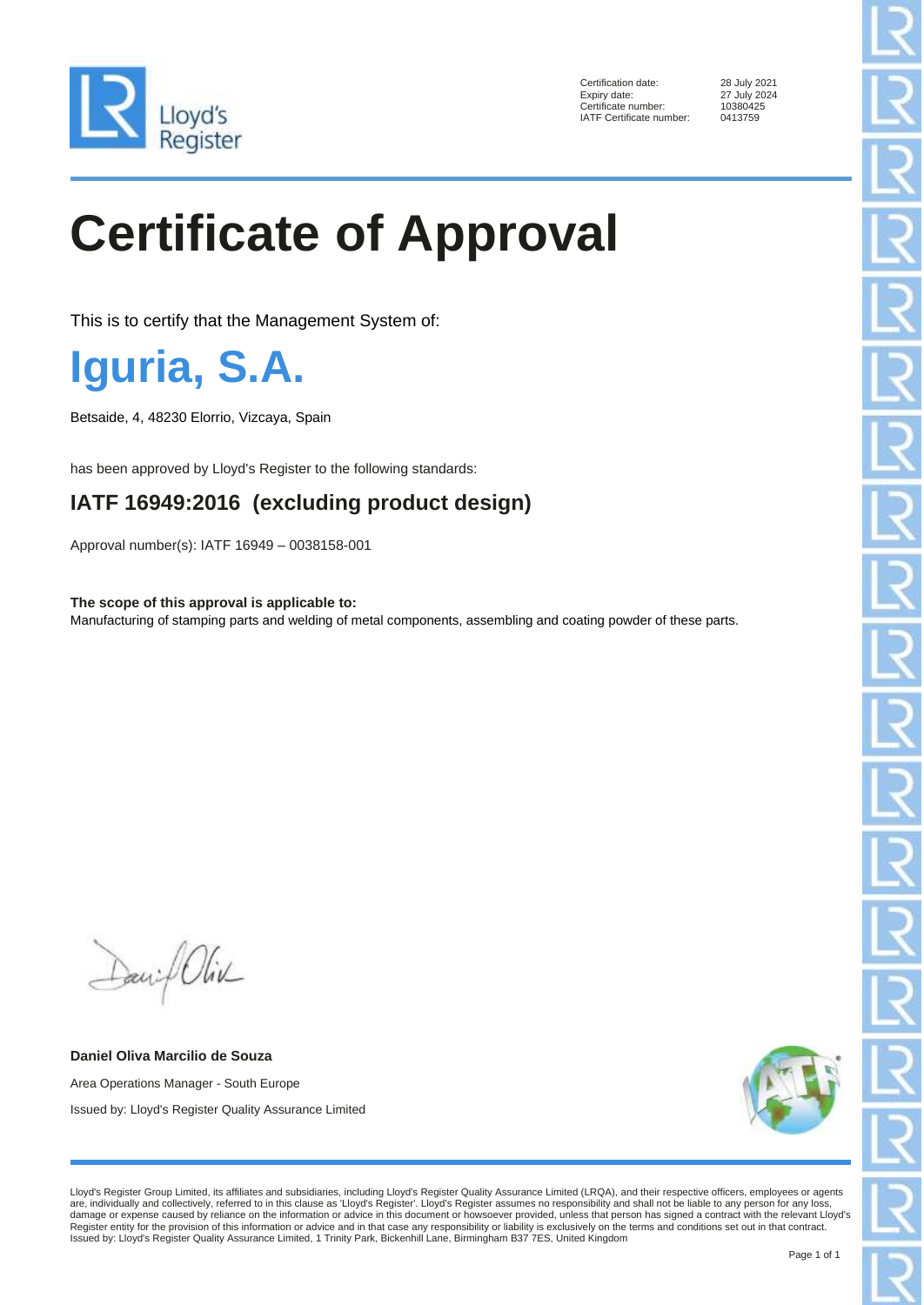

Certification date: 28 July 2021<br>Expiry date: 27 July 2024 Certificate number: 1038042<br>IATF Certificate number: 0413759 IATF Certificate number:

27 July 2024<br>10380425

## **Certificate of Approval**

This is to certify that the Management System of:

**Iguria, S.A.**

Betsaide, 4, 48230 Elorrio, Vizcaya, Spain

has been approved by Lloyd's Register to the following standards:

## **IATF 16949:2016 (excluding product design)**

Approval number(s): IATF 16949 – 0038158-001

**The scope of this approval is applicable to:** Manufacturing of stamping parts and welding of metal components, assembling and coating powder of these parts.

Daniel Oliv

**Daniel Oliva Marcilio de Souza** Area Operations Manager - South Europe Issued by: Lloyd's Register Quality Assurance Limited



Lloyd's Register Group Limited, its affiliates and subsidiaries, including Lloyd's Register Quality Assurance Limited (LRQA), and their respective officers, employees or agents are, individually and collectively, referred to in this clause as 'Lloyd's Register'. Lloyd's Register assumes no responsibility and shall not be liable to any person for any loss, damage or expense caused by reliance on the information or advice in this document or howsoever provided, unless that person has signed a contract with the relevant Lloyd's<br>Register entity for the provision of this informa Issued by: Lloyd's Register Quality Assurance Limited, 1 Trinity Park, Bickenhill Lane, Birmingham B37 7ES, United Kingdom